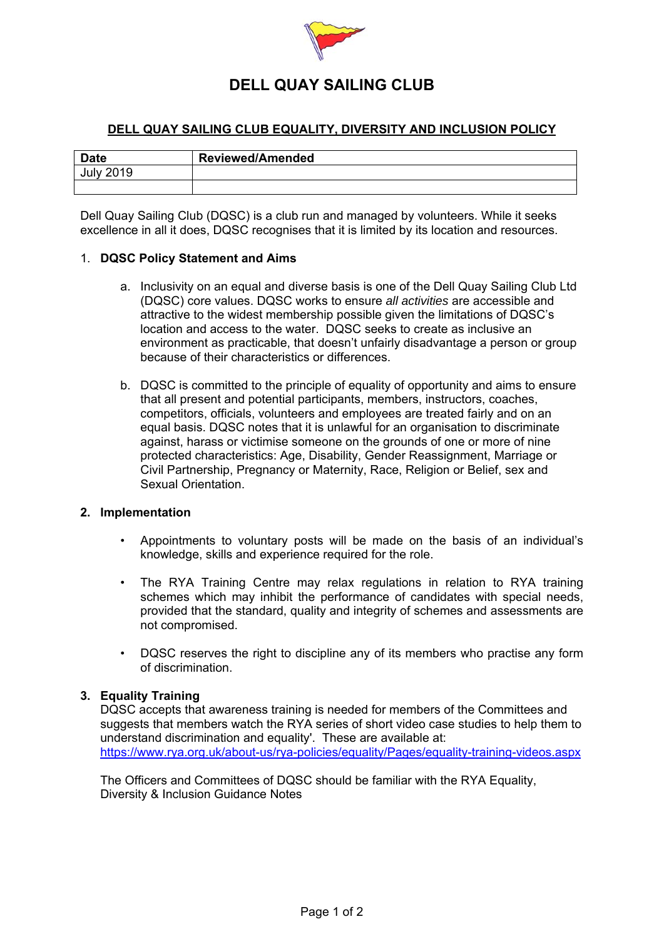

# **DELL QUAY SAILING CLUB**

# **DELL QUAY SAILING CLUB EQUALITY, DIVERSITY AND INCLUSION POLICY**

| <b>Date</b>  | <b>Reviewed/Amended</b> |
|--------------|-------------------------|
| 2019<br>Julv |                         |
|              |                         |

Dell Quay Sailing Club (DQSC) is a club run and managed by volunteers. While it seeks excellence in all it does, DQSC recognises that it is limited by its location and resources.

### 1. **DQSC Policy Statement and Aims**

- a. Inclusivity on an equal and diverse basis is one of the Dell Quay Sailing Club Ltd (DQSC) core values. DQSC works to ensure *all activities* are accessible and attractive to the widest membership possible given the limitations of DQSC's location and access to the water. DQSC seeks to create as inclusive an environment as practicable, that doesn't unfairly disadvantage a person or group because of their characteristics or differences.
- b. DQSC is committed to the principle of equality of opportunity and aims to ensure that all present and potential participants, members, instructors, coaches, competitors, officials, volunteers and employees are treated fairly and on an equal basis. DQSC notes that it is unlawful for an organisation to discriminate against, harass or victimise someone on the grounds of one or more of nine protected characteristics: Age, Disability, Gender Reassignment, Marriage or Civil Partnership, Pregnancy or Maternity, Race, Religion or Belief, sex and Sexual Orientation.

#### **2. Implementation**

- Appointments to voluntary posts will be made on the basis of an individual's knowledge, skills and experience required for the role.
- The RYA Training Centre may relax regulations in relation to RYA training schemes which may inhibit the performance of candidates with special needs, provided that the standard, quality and integrity of schemes and assessments are not compromised.
- DQSC reserves the right to discipline any of its members who practise any form of discrimination.

#### **3. Equality Training**

DQSC accepts that awareness training is needed for members of the Committees and suggests that members watch the RYA series of short video case studies to help them to understand discrimination and equality'. These are available at: https://www.rya.org.uk/about-us/rya-policies/equality/Pages/equality-training-videos.aspx

The Officers and Committees of DQSC should be familiar with the RYA Equality, Diversity & Inclusion Guidance Notes